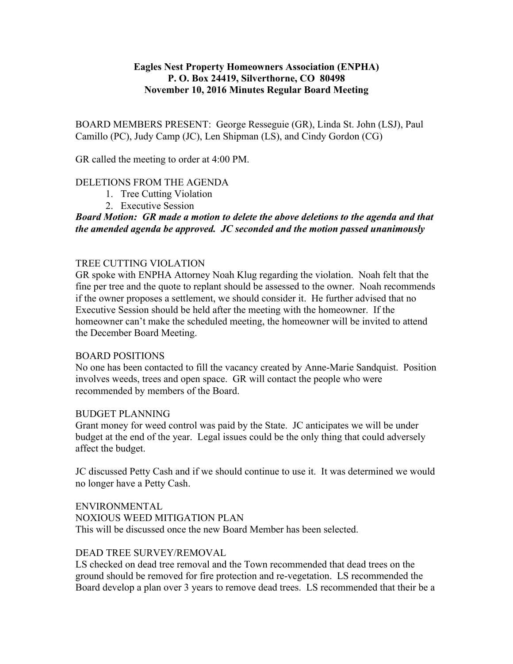# **Eagles Nest Property Homeowners Association (ENPHA) P. O. Box 24419, Silverthorne, CO 80498 November 10, 2016 Minutes Regular Board Meeting**

BOARD MEMBERS PRESENT: George Resseguie (GR), Linda St. John (LSJ), Paul Camillo (PC), Judy Camp (JC), Len Shipman (LS), and Cindy Gordon (CG)

GR called the meeting to order at 4:00 PM.

### DELETIONS FROM THE AGENDA

- 1. Tree Cutting Violation
- 2. Executive Session

# *Board Motion: GR made a motion to delete the above deletions to the agenda and that the amended agenda be approved. JC seconded and the motion passed unanimously*

# TREE CUTTING VIOLATION

GR spoke with ENPHA Attorney Noah Klug regarding the violation. Noah felt that the fine per tree and the quote to replant should be assessed to the owner. Noah recommends if the owner proposes a settlement, we should consider it. He further advised that no Executive Session should be held after the meeting with the homeowner. If the homeowner can't make the scheduled meeting, the homeowner will be invited to attend the December Board Meeting.

### BOARD POSITIONS

No one has been contacted to fill the vacancy created by Anne-Marie Sandquist. Position involves weeds, trees and open space. GR will contact the people who were recommended by members of the Board.

### BUDGET PLANNING

Grant money for weed control was paid by the State. JC anticipates we will be under budget at the end of the year. Legal issues could be the only thing that could adversely affect the budget.

JC discussed Petty Cash and if we should continue to use it. It was determined we would no longer have a Petty Cash.

ENVIRONMENTAL NOXIOUS WEED MITIGATION PLAN This will be discussed once the new Board Member has been selected.

### DEAD TREE SURVEY/REMOVAL

LS checked on dead tree removal and the Town recommended that dead trees on the ground should be removed for fire protection and re-vegetation. LS recommended the Board develop a plan over 3 years to remove dead trees. LS recommended that their be a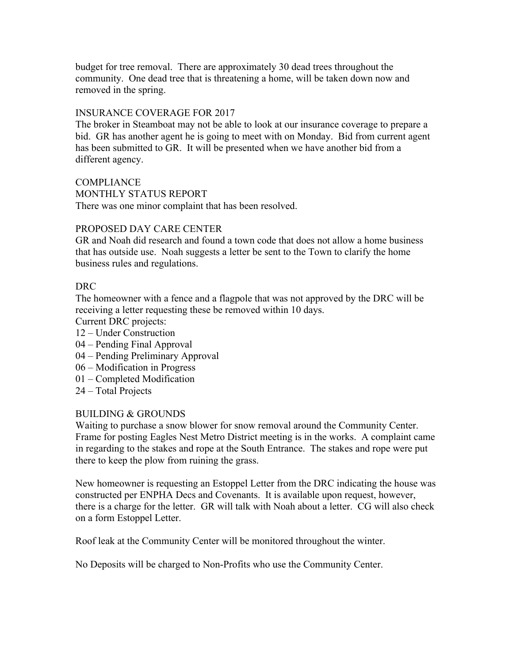budget for tree removal. There are approximately 30 dead trees throughout the community. One dead tree that is threatening a home, will be taken down now and removed in the spring.

## INSURANCE COVERAGE FOR 2017

The broker in Steamboat may not be able to look at our insurance coverage to prepare a bid. GR has another agent he is going to meet with on Monday. Bid from current agent has been submitted to GR. It will be presented when we have another bid from a different agency.

COMPLIANCE MONTHLY STATUS REPORT There was one minor complaint that has been resolved.

## PROPOSED DAY CARE CENTER

GR and Noah did research and found a town code that does not allow a home business that has outside use. Noah suggests a letter be sent to the Town to clarify the home business rules and regulations.

## DRC

The homeowner with a fence and a flagpole that was not approved by the DRC will be receiving a letter requesting these be removed within 10 days.

Current DRC projects:

- 12 Under Construction
- 04 Pending Final Approval
- 04 Pending Preliminary Approval
- 06 Modification in Progress
- 01 Completed Modification
- 24 Total Projects

### BUILDING & GROUNDS

Waiting to purchase a snow blower for snow removal around the Community Center. Frame for posting Eagles Nest Metro District meeting is in the works. A complaint came in regarding to the stakes and rope at the South Entrance. The stakes and rope were put there to keep the plow from ruining the grass.

New homeowner is requesting an Estoppel Letter from the DRC indicating the house was constructed per ENPHA Decs and Covenants. It is available upon request, however, there is a charge for the letter. GR will talk with Noah about a letter. CG will also check on a form Estoppel Letter.

Roof leak at the Community Center will be monitored throughout the winter.

No Deposits will be charged to Non-Profits who use the Community Center.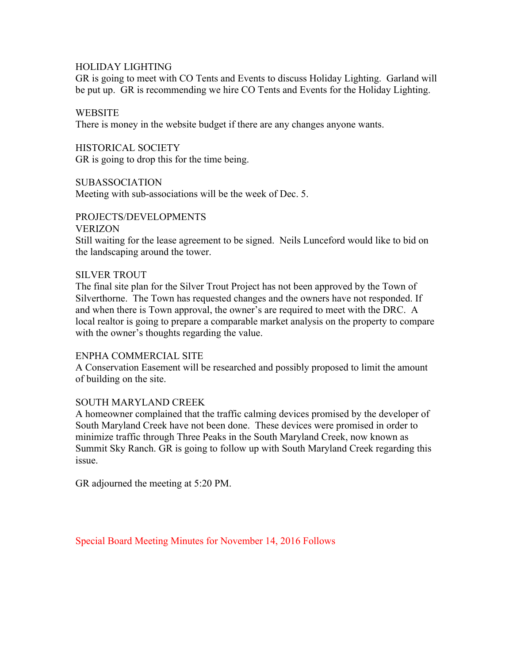### HOLIDAY LIGHTING

GR is going to meet with CO Tents and Events to discuss Holiday Lighting. Garland will be put up. GR is recommending we hire CO Tents and Events for the Holiday Lighting.

#### **WEBSITE**

There is money in the website budget if there are any changes anyone wants.

HISTORICAL SOCIETY GR is going to drop this for the time being.

SUBASSOCIATION

Meeting with sub-associations will be the week of Dec. 5.

#### PROJECTS/DEVELOPMENTS

VERIZON

Still waiting for the lease agreement to be signed. Neils Lunceford would like to bid on the landscaping around the tower.

#### SILVER TROUT

The final site plan for the Silver Trout Project has not been approved by the Town of Silverthorne. The Town has requested changes and the owners have not responded. If and when there is Town approval, the owner's are required to meet with the DRC. A local realtor is going to prepare a comparable market analysis on the property to compare with the owner's thoughts regarding the value.

### ENPHA COMMERCIAL SITE

A Conservation Easement will be researched and possibly proposed to limit the amount of building on the site.

#### SOUTH MARYLAND CREEK

A homeowner complained that the traffic calming devices promised by the developer of South Maryland Creek have not been done. These devices were promised in order to minimize traffic through Three Peaks in the South Maryland Creek, now known as Summit Sky Ranch. GR is going to follow up with South Maryland Creek regarding this issue.

GR adjourned the meeting at 5:20 PM.

Special Board Meeting Minutes for November 14, 2016 Follows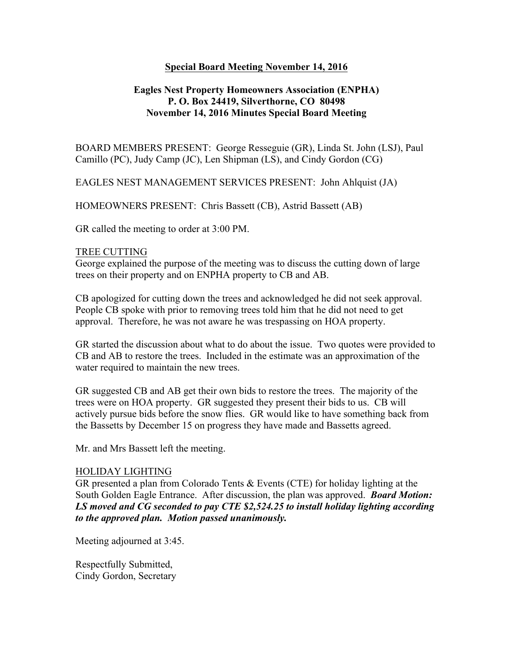## **Special Board Meeting November 14, 2016**

# **Eagles Nest Property Homeowners Association (ENPHA) P. O. Box 24419, Silverthorne, CO 80498 November 14, 2016 Minutes Special Board Meeting**

BOARD MEMBERS PRESENT: George Resseguie (GR), Linda St. John (LSJ), Paul Camillo (PC), Judy Camp (JC), Len Shipman (LS), and Cindy Gordon (CG)

EAGLES NEST MANAGEMENT SERVICES PRESENT: John Ahlquist (JA)

HOMEOWNERS PRESENT: Chris Bassett (CB), Astrid Bassett (AB)

GR called the meeting to order at 3:00 PM.

### TREE CUTTING

George explained the purpose of the meeting was to discuss the cutting down of large trees on their property and on ENPHA property to CB and AB.

CB apologized for cutting down the trees and acknowledged he did not seek approval. People CB spoke with prior to removing trees told him that he did not need to get approval. Therefore, he was not aware he was trespassing on HOA property.

GR started the discussion about what to do about the issue. Two quotes were provided to CB and AB to restore the trees. Included in the estimate was an approximation of the water required to maintain the new trees.

GR suggested CB and AB get their own bids to restore the trees. The majority of the trees were on HOA property. GR suggested they present their bids to us. CB will actively pursue bids before the snow flies. GR would like to have something back from the Bassetts by December 15 on progress they have made and Bassetts agreed.

Mr. and Mrs Bassett left the meeting.

#### HOLIDAY LIGHTING

GR presented a plan from Colorado Tents & Events (CTE) for holiday lighting at the South Golden Eagle Entrance. After discussion, the plan was approved. *Board Motion: LS moved and CG seconded to pay CTE \$2,524.25 to install holiday lighting according to the approved plan. Motion passed unanimously.*

Meeting adjourned at 3:45.

Respectfully Submitted, Cindy Gordon, Secretary